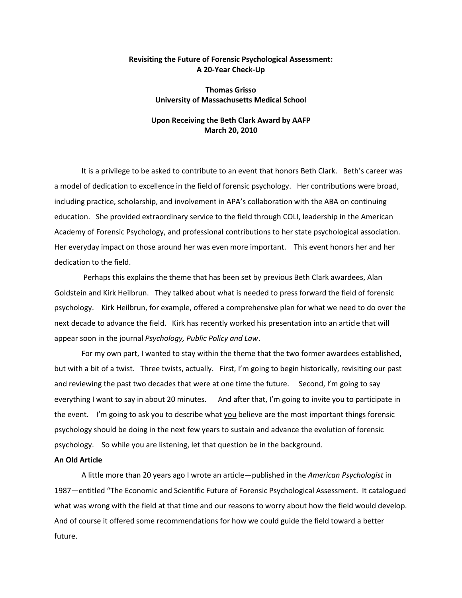## **Revisiting the Future of Forensic Psychological Assessment: A 20-Year Check-Up**

## **Thomas Grisso University of Massachusetts Medical School**

# **Upon Receiving the Beth Clark Award by AAFP March 20, 2010**

It is a privilege to be asked to contribute to an event that honors Beth Clark. Beth's career was a model of dedication to excellence in the field of forensic psychology. Her contributions were broad, including practice, scholarship, and involvement in APA's collaboration with the ABA on continuing education. She provided extraordinary service to the field through COLI, leadership in the American Academy of Forensic Psychology, and professional contributions to her state psychological association. Her everyday impact on those around her was even more important. This event honors her and her dedication to the field.

Perhaps this explains the theme that has been set by previous Beth Clark awardees, Alan Goldstein and Kirk Heilbrun. They talked about what is needed to press forward the field of forensic psychology. Kirk Heilbrun, for example, offered a comprehensive plan for what we need to do over the next decade to advance the field. Kirk has recently worked his presentation into an article that will appear soon in the journal *Psychology, Public Policy and Law*.

For my own part, I wanted to stay within the theme that the two former awardees established, but with a bit of a twist. Three twists, actually. First, I'm going to begin historically, revisiting our past and reviewing the past two decades that were at one time the future. Second, I'm going to say everything I want to say in about 20 minutes. And after that, I'm going to invite you to participate in the event. I'm going to ask you to describe what you believe are the most important things forensic psychology should be doing in the next few years to sustain and advance the evolution of forensic psychology. So while you are listening, let that question be in the background.

#### **An Old Article**

A little more than 20 years ago I wrote an article—published in the *American Psychologist* in 1987—entitled "The Economic and Scientific Future of Forensic Psychological Assessment. It catalogued what was wrong with the field at that time and our reasons to worry about how the field would develop. And of course it offered some recommendations for how we could guide the field toward a better future.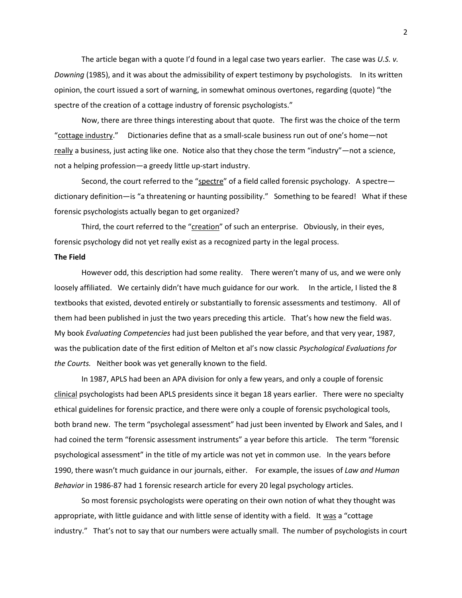The article began with a quote I'd found in a legal case two years earlier. The case was *U.S. v. Downing* (1985), and it was about the admissibility of expert testimony by psychologists. In its written opinion, the court issued a sort of warning, in somewhat ominous overtones, regarding (quote) "the spectre of the creation of a cottage industry of forensic psychologists."

Now, there are three things interesting about that quote. The first was the choice of the term "cottage industry." Dictionaries define that as a small-scale business run out of one's home—not really a business, just acting like one. Notice also that they chose the term "industry"—not a science, not a helping profession—a greedy little up-start industry.

Second, the court referred to the "spectre" of a field called forensic psychology. A spectre dictionary definition—is "a threatening or haunting possibility." Something to be feared! What if these forensic psychologists actually began to get organized?

Third, the court referred to the "creation" of such an enterprise. Obviously, in their eyes, forensic psychology did not yet really exist as a recognized party in the legal process.

#### **The Field**

However odd, this description had some reality. There weren't many of us, and we were only loosely affiliated. We certainly didn't have much guidance for our work. In the article, I listed the 8 textbooks that existed, devoted entirely or substantially to forensic assessments and testimony. All of them had been published in just the two years preceding this article. That's how new the field was. My book *Evaluating Competencies* had just been published the year before, and that very year, 1987, was the publication date of the first edition of Melton et al's now classic *Psychological Evaluations for the Courts.* Neither book was yet generally known to the field.

In 1987, APLS had been an APA division for only a few years, and only a couple of forensic clinical psychologists had been APLS presidents since it began 18 years earlier. There were no specialty ethical guidelines for forensic practice, and there were only a couple of forensic psychological tools, both brand new. The term "psycholegal assessment" had just been invented by Elwork and Sales, and I had coined the term "forensic assessment instruments" a year before this article. The term "forensic psychological assessment" in the title of my article was not yet in common use. In the years before 1990, there wasn't much guidance in our journals, either. For example, the issues of *Law and Human Behavior* in 1986-87 had 1 forensic research article for every 20 legal psychology articles.

So most forensic psychologists were operating on their own notion of what they thought was appropriate, with little guidance and with little sense of identity with a field. It was a "cottage industry." That's not to say that our numbers were actually small. The number of psychologists in court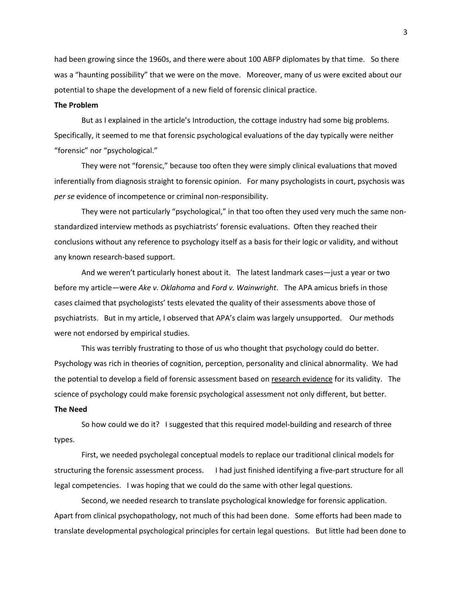had been growing since the 1960s, and there were about 100 ABFP diplomates by that time. So there was a "haunting possibility" that we were on the move. Moreover, many of us were excited about our potential to shape the development of a new field of forensic clinical practice.

### **The Problem**

But as I explained in the article's Introduction, the cottage industry had some big problems. Specifically, it seemed to me that forensic psychological evaluations of the day typically were neither "forensic" nor "psychological."

They were not "forensic," because too often they were simply clinical evaluations that moved inferentially from diagnosis straight to forensic opinion. For many psychologists in court, psychosis was *per se* evidence of incompetence or criminal non-responsibility.

They were not particularly "psychological," in that too often they used very much the same nonstandardized interview methods as psychiatrists' forensic evaluations. Often they reached their conclusions without any reference to psychology itself as a basis for their logic or validity, and without any known research-based support.

And we weren't particularly honest about it. The latest landmark cases—just a year or two before my article—were *Ake v. Oklahoma* and *Ford v. Wainwright*. The APA amicus briefs in those cases claimed that psychologists' tests elevated the quality of their assessments above those of psychiatrists. But in my article, I observed that APA's claim was largely unsupported. Our methods were not endorsed by empirical studies.

This was terribly frustrating to those of us who thought that psychology could do better. Psychology was rich in theories of cognition, perception, personality and clinical abnormality. We had the potential to develop a field of forensic assessment based on research evidence for its validity. The science of psychology could make forensic psychological assessment not only different, but better.

## **The Need**

So how could we do it? I suggested that this required model-building and research of three types.

First, we needed psycholegal conceptual models to replace our traditional clinical models for structuring the forensic assessment process. I had just finished identifying a five-part structure for all legal competencies. I was hoping that we could do the same with other legal questions.

Second, we needed research to translate psychological knowledge for forensic application. Apart from clinical psychopathology, not much of this had been done. Some efforts had been made to translate developmental psychological principles for certain legal questions. But little had been done to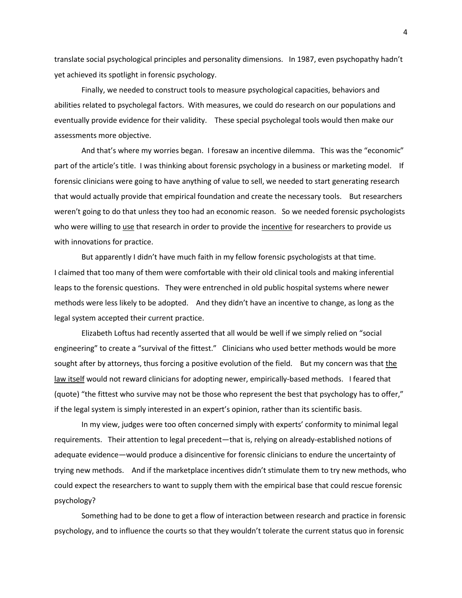translate social psychological principles and personality dimensions. In 1987, even psychopathy hadn't yet achieved its spotlight in forensic psychology.

Finally, we needed to construct tools to measure psychological capacities, behaviors and abilities related to psycholegal factors. With measures, we could do research on our populations and eventually provide evidence for their validity. These special psycholegal tools would then make our assessments more objective.

And that's where my worries began. I foresaw an incentive dilemma. This was the "economic" part of the article's title. I was thinking about forensic psychology in a business or marketing model. If forensic clinicians were going to have anything of value to sell, we needed to start generating research that would actually provide that empirical foundation and create the necessary tools. But researchers weren't going to do that unless they too had an economic reason. So we needed forensic psychologists who were willing to use that research in order to provide the incentive for researchers to provide us with innovations for practice.

But apparently I didn't have much faith in my fellow forensic psychologists at that time. I claimed that too many of them were comfortable with their old clinical tools and making inferential leaps to the forensic questions. They were entrenched in old public hospital systems where newer methods were less likely to be adopted. And they didn't have an incentive to change, as long as the legal system accepted their current practice.

Elizabeth Loftus had recently asserted that all would be well if we simply relied on "social engineering" to create a "survival of the fittest." Clinicians who used better methods would be more sought after by attorneys, thus forcing a positive evolution of the field. But my concern was that the law itself would not reward clinicians for adopting newer, empirically-based methods. I feared that (quote) "the fittest who survive may not be those who represent the best that psychology has to offer," if the legal system is simply interested in an expert's opinion, rather than its scientific basis.

In my view, judges were too often concerned simply with experts' conformity to minimal legal requirements. Their attention to legal precedent—that is, relying on already-established notions of adequate evidence—would produce a disincentive for forensic clinicians to endure the uncertainty of trying new methods. And if the marketplace incentives didn't stimulate them to try new methods, who could expect the researchers to want to supply them with the empirical base that could rescue forensic psychology?

Something had to be done to get a flow of interaction between research and practice in forensic psychology, and to influence the courts so that they wouldn't tolerate the current status quo in forensic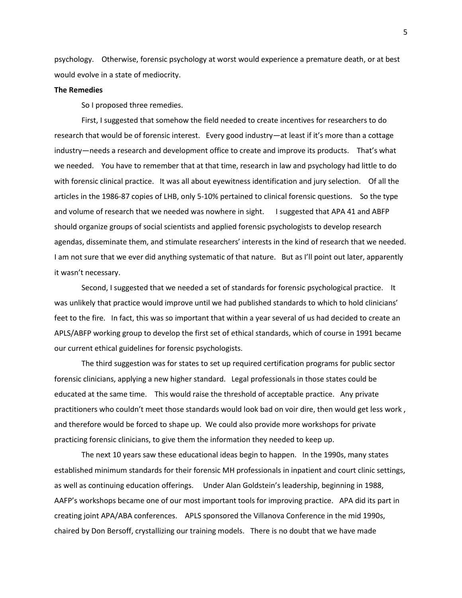psychology. Otherwise, forensic psychology at worst would experience a premature death, or at best would evolve in a state of mediocrity.

#### **The Remedies**

So I proposed three remedies.

First, I suggested that somehow the field needed to create incentives for researchers to do research that would be of forensic interest. Every good industry—at least if it's more than a cottage industry—needs a research and development office to create and improve its products. That's what we needed. You have to remember that at that time, research in law and psychology had little to do with forensic clinical practice. It was all about eyewitness identification and jury selection. Of all the articles in the 1986-87 copies of LHB, only 5-10% pertained to clinical forensic questions. So the type and volume of research that we needed was nowhere in sight. I suggested that APA 41 and ABFP should organize groups of social scientists and applied forensic psychologists to develop research agendas, disseminate them, and stimulate researchers' interests in the kind of research that we needed. I am not sure that we ever did anything systematic of that nature. But as I'll point out later, apparently it wasn't necessary.

Second, I suggested that we needed a set of standards for forensic psychological practice. It was unlikely that practice would improve until we had published standards to which to hold clinicians' feet to the fire. In fact, this was so important that within a year several of us had decided to create an APLS/ABFP working group to develop the first set of ethical standards, which of course in 1991 became our current ethical guidelines for forensic psychologists.

The third suggestion was for states to set up required certification programs for public sector forensic clinicians, applying a new higher standard. Legal professionals in those states could be educated at the same time. This would raise the threshold of acceptable practice. Any private practitioners who couldn't meet those standards would look bad on voir dire, then would get less work , and therefore would be forced to shape up. We could also provide more workshops for private practicing forensic clinicians, to give them the information they needed to keep up.

The next 10 years saw these educational ideas begin to happen. In the 1990s, many states established minimum standards for their forensic MH professionals in inpatient and court clinic settings, as well as continuing education offerings. Under Alan Goldstein's leadership, beginning in 1988, AAFP's workshops became one of our most important tools for improving practice. APA did its part in creating joint APA/ABA conferences. APLS sponsored the Villanova Conference in the mid 1990s, chaired by Don Bersoff, crystallizing our training models. There is no doubt that we have made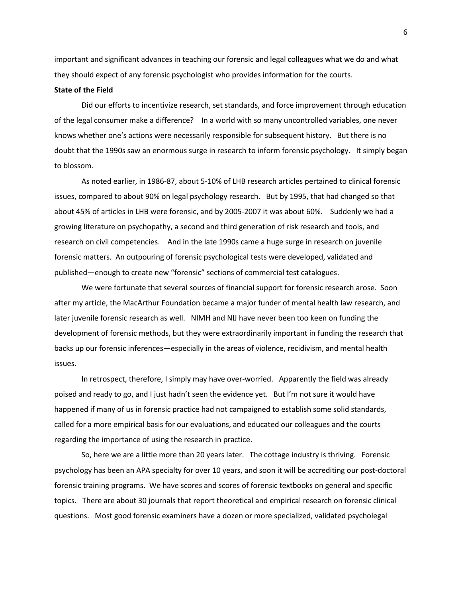important and significant advances in teaching our forensic and legal colleagues what we do and what they should expect of any forensic psychologist who provides information for the courts.

### **State of the Field**

Did our efforts to incentivize research, set standards, and force improvement through education of the legal consumer make a difference? In a world with so many uncontrolled variables, one never knows whether one's actions were necessarily responsible for subsequent history. But there is no doubt that the 1990s saw an enormous surge in research to inform forensic psychology. It simply began to blossom.

As noted earlier, in 1986-87, about 5-10% of LHB research articles pertained to clinical forensic issues, compared to about 90% on legal psychology research. But by 1995, that had changed so that about 45% of articles in LHB were forensic, and by 2005-2007 it was about 60%. Suddenly we had a growing literature on psychopathy, a second and third generation of risk research and tools, and research on civil competencies. And in the late 1990s came a huge surge in research on juvenile forensic matters. An outpouring of forensic psychological tests were developed, validated and published—enough to create new "forensic" sections of commercial test catalogues.

We were fortunate that several sources of financial support for forensic research arose. Soon after my article, the MacArthur Foundation became a major funder of mental health law research, and later juvenile forensic research as well. NIMH and NIJ have never been too keen on funding the development of forensic methods, but they were extraordinarily important in funding the research that backs up our forensic inferences—especially in the areas of violence, recidivism, and mental health issues.

In retrospect, therefore, I simply may have over-worried. Apparently the field was already poised and ready to go, and I just hadn't seen the evidence yet. But I'm not sure it would have happened if many of us in forensic practice had not campaigned to establish some solid standards, called for a more empirical basis for our evaluations, and educated our colleagues and the courts regarding the importance of using the research in practice.

So, here we are a little more than 20 years later. The cottage industry is thriving. Forensic psychology has been an APA specialty for over 10 years, and soon it will be accrediting our post-doctoral forensic training programs. We have scores and scores of forensic textbooks on general and specific topics. There are about 30 journals that report theoretical and empirical research on forensic clinical questions. Most good forensic examiners have a dozen or more specialized, validated psycholegal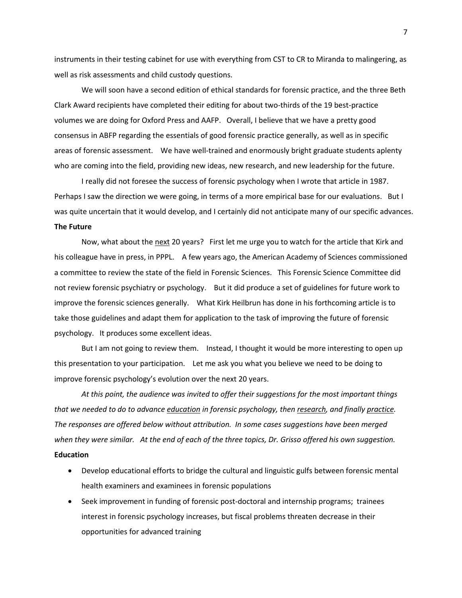instruments in their testing cabinet for use with everything from CST to CR to Miranda to malingering, as well as risk assessments and child custody questions.

We will soon have a second edition of ethical standards for forensic practice, and the three Beth Clark Award recipients have completed their editing for about two-thirds of the 19 best-practice volumes we are doing for Oxford Press and AAFP. Overall, I believe that we have a pretty good consensus in ABFP regarding the essentials of good forensic practice generally, as well as in specific areas of forensic assessment. We have well-trained and enormously bright graduate students aplenty who are coming into the field, providing new ideas, new research, and new leadership for the future.

I really did not foresee the success of forensic psychology when I wrote that article in 1987. Perhaps I saw the direction we were going, in terms of a more empirical base for our evaluations. But I was quite uncertain that it would develop, and I certainly did not anticipate many of our specific advances.

### **The Future**

Now, what about the next 20 years? First let me urge you to watch for the article that Kirk and his colleague have in press, in PPPL. A few years ago, the American Academy of Sciences commissioned a committee to review the state of the field in Forensic Sciences. This Forensic Science Committee did not review forensic psychiatry or psychology. But it did produce a set of guidelines for future work to improve the forensic sciences generally. What Kirk Heilbrun has done in his forthcoming article is to take those guidelines and adapt them for application to the task of improving the future of forensic psychology. It produces some excellent ideas.

But I am not going to review them. Instead, I thought it would be more interesting to open up this presentation to your participation. Let me ask you what you believe we need to be doing to improve forensic psychology's evolution over the next 20 years.

*At this point, the audience was invited to offer their suggestions for the most important things that we needed to do to advance education in forensic psychology, then research, and finally practice. The responses are offered below without attribution. In some cases suggestions have been merged when they were similar. At the end of each of the three topics, Dr. Grisso offered his own suggestion.* **Education**

- Develop educational efforts to bridge the cultural and linguistic gulfs between forensic mental health examiners and examinees in forensic populations
- Seek improvement in funding of forensic post-doctoral and internship programs; trainees interest in forensic psychology increases, but fiscal problems threaten decrease in their opportunities for advanced training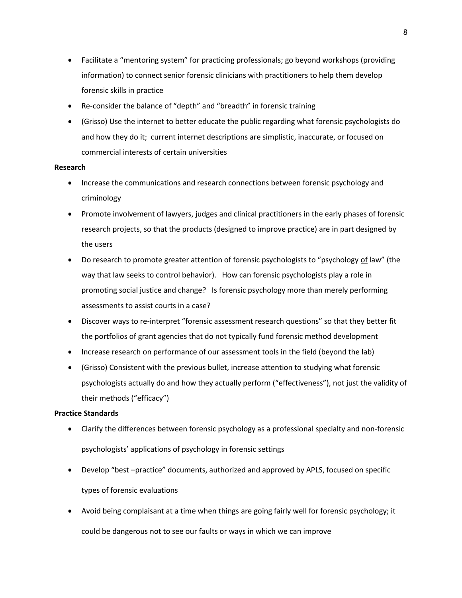- Facilitate a "mentoring system" for practicing professionals; go beyond workshops (providing information) to connect senior forensic clinicians with practitioners to help them develop forensic skills in practice
- Re-consider the balance of "depth" and "breadth" in forensic training
- (Grisso) Use the internet to better educate the public regarding what forensic psychologists do and how they do it; current internet descriptions are simplistic, inaccurate, or focused on commercial interests of certain universities

## **Research**

- Increase the communications and research connections between forensic psychology and criminology
- Promote involvement of lawyers, judges and clinical practitioners in the early phases of forensic research projects, so that the products (designed to improve practice) are in part designed by the users
- Do research to promote greater attention of forensic psychologists to "psychology of law" (the way that law seeks to control behavior). How can forensic psychologists play a role in promoting social justice and change? Is forensic psychology more than merely performing assessments to assist courts in a case?
- Discover ways to re-interpret "forensic assessment research questions" so that they better fit the portfolios of grant agencies that do not typically fund forensic method development
- Increase research on performance of our assessment tools in the field (beyond the lab)
- (Grisso) Consistent with the previous bullet, increase attention to studying what forensic psychologists actually do and how they actually perform ("effectiveness"), not just the validity of their methods ("efficacy")

# **Practice Standards**

- Clarify the differences between forensic psychology as a professional specialty and non-forensic psychologists' applications of psychology in forensic settings
- Develop "best –practice" documents, authorized and approved by APLS, focused on specific types of forensic evaluations
- Avoid being complaisant at a time when things are going fairly well for forensic psychology; it could be dangerous not to see our faults or ways in which we can improve